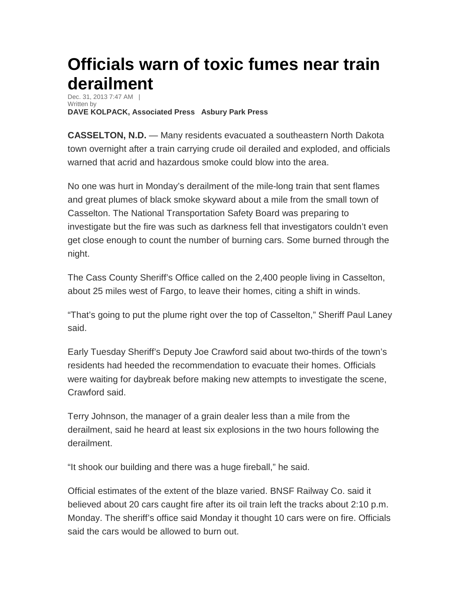## **Officials warn of toxic fumes near train derailment**

Dec. 31, 2013 7:47 AM | Written by **DAVE KOLPACK, Associated Press Asbury Park Press** 

**CASSELTON, N.D.** — Many residents evacuated a southeastern North Dakota town overnight after a train carrying crude oil derailed and exploded, and officials warned that acrid and hazardous smoke could blow into the area.

No one was hurt in Monday's derailment of the mile-long train that sent flames and great plumes of black smoke skyward about a mile from the small town of Casselton. The National Transportation Safety Board was preparing to investigate but the fire was such as darkness fell that investigators couldn't even get close enough to count the number of burning cars. Some burned through the night.

The Cass County Sheriff's Office called on the 2,400 people living in Casselton, about 25 miles west of Fargo, to leave their homes, citing a shift in winds.

"That's going to put the plume right over the top of Casselton," Sheriff Paul Laney said.

Early Tuesday Sheriff's Deputy Joe Crawford said about two-thirds of the town's residents had heeded the recommendation to evacuate their homes. Officials were waiting for daybreak before making new attempts to investigate the scene, Crawford said.

Terry Johnson, the manager of a grain dealer less than a mile from the derailment, said he heard at least six explosions in the two hours following the derailment.

"It shook our building and there was a huge fireball," he said.

Official estimates of the extent of the blaze varied. BNSF Railway Co. said it believed about 20 cars caught fire after its oil train left the tracks about 2:10 p.m. Monday. The sheriff's office said Monday it thought 10 cars were on fire. Officials said the cars would be allowed to burn out.